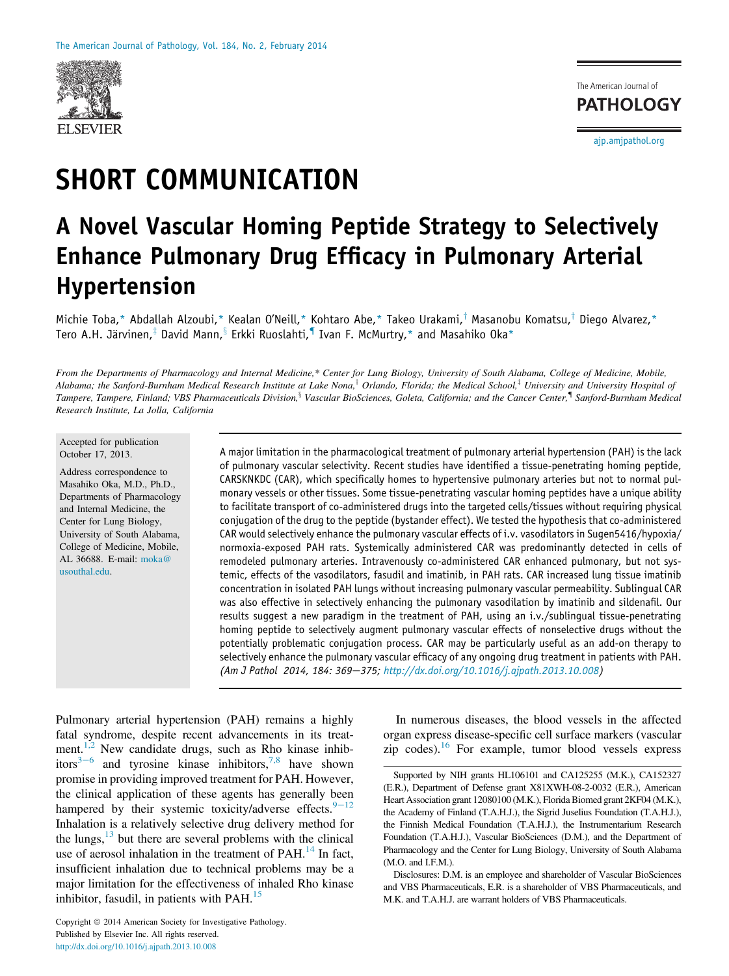

The American Journal of **PATHOLOGY** ajp.amjpathol.org

# SHORT COMMUNICATION

## A Novel Vascular Homing Peptide Strategy to Selectively Enhance Pulmonary Drug Efficacy in Pulmonary Arterial Hypertension

Michie Toba,\* Abdallah Alzoubi,\* Kealan O'Neill,\* Kohtaro Abe,\* Takeo Urakami,<sup>†</sup> Masanobu Komatsu,<sup>†</sup> Diego Alvarez,\* Tero A.H. Järvinen, $^\ddagger$  David Mann, $^\S$  Erkki Ruoslahti, $^\P$  Ivan F. McMurtry, $^\star$  and Masahiko Oka $^\star$ 

*From the Departments of Pharmacology and Internal Medicine,\* Center for Lung Biology, University of South Alabama, College of Medicine, Mobile,* Alabama; the Sanford-Burnham Medical Research Institute at Lake Nona,<sup>†</sup> Orlando, Florida; the Medical School,<sup>‡</sup> University and University Hospital of Tampere, Tampere, Finland; VBS Pharmaceuticals Division, <sup>§</sup> Vascular BioSciences, Goleta, California; and the Cancer Center, I Sanford-Burnham Medical *Research Institute, La Jolla, California*

Accepted for publication October 17, 2013.

Address correspondence to Masahiko Oka, M.D., Ph.D., Departments of Pharmacology and Internal Medicine, the Center for Lung Biology, University of South Alabama, College of Medicine, Mobile, AL 36688. E-mail: moka@ usouthal.edu.

A major limitation in the pharmacological treatment of pulmonary arterial hypertension (PAH) is the lack of pulmonary vascular selectivity. Recent studies have identified a tissue-penetrating homing peptide, CARSKNKDC (CAR), which specifically homes to hypertensive pulmonary arteries but not to normal pulmonary vessels or other tissues. Some tissue-penetrating vascular homing peptides have a unique ability to facilitate transport of co-administered drugs into the targeted cells/tissues without requiring physical conjugation of the drug to the peptide (bystander effect). We tested the hypothesis that co-administered CAR would selectively enhance the pulmonary vascular effects of i.v. vasodilators in Sugen5416/hypoxia/ normoxia-exposed PAH rats. Systemically administered CAR was predominantly detected in cells of remodeled pulmonary arteries. Intravenously co-administered CAR enhanced pulmonary, but not systemic, effects of the vasodilators, fasudil and imatinib, in PAH rats. CAR increased lung tissue imatinib concentration in isolated PAH lungs without increasing pulmonary vascular permeability. Sublingual CAR was also effective in selectively enhancing the pulmonary vasodilation by imatinib and sildenafil. Our results suggest a new paradigm in the treatment of PAH, using an i.v./sublingual tissue-penetrating homing peptide to selectively augment pulmonary vascular effects of nonselective drugs without the potentially problematic conjugation process. CAR may be particularly useful as an add-on therapy to selectively enhance the pulmonary vascular efficacy of any ongoing drug treatment in patients with PAH. *(Am J Pathol 2014, 184: 369*e*375; http://dx.doi.org/10.1016/j.ajpath.2013.10.008)*

Pulmonary arterial hypertension (PAH) remains a highly fatal syndrome, despite recent advancements in its treatment.<sup>1,2</sup> New candidate drugs, such as Rho kinase inhibitors<sup>3-6</sup> and tyrosine kinase inhibitors,<sup>7,8</sup> have shown promise in providing improved treatment for PAH. However, the clinical application of these agents has generally been hampered by their systemic toxicity/adverse effects.  $9-12$ Inhalation is a relatively selective drug delivery method for the lungs,  $13$  but there are several problems with the clinical use of aerosol inhalation in the treatment of PAH. $^{14}$  In fact, insufficient inhalation due to technical problems may be a major limitation for the effectiveness of inhaled Rho kinase inhibitor, fasudil, in patients with  $PAH<sup>15</sup>$ 

In numerous diseases, the blood vessels in the affected organ express disease-specific cell surface markers (vascular zip codes).<sup>16</sup> For example, tumor blood vessels express

Disclosures: D.M. is an employee and shareholder of Vascular BioSciences and VBS Pharmaceuticals, E.R. is a shareholder of VBS Pharmaceuticals, and M.K. and T.A.H.J. are warrant holders of VBS Pharmaceuticals.

Copyright © 2014 American Society for Investigative Pathology. Published by Elsevier Inc. All rights reserved. http://dx.doi.org/10.1016/j.ajpath.2013.10.008

Supported by NIH grants HL106101 and CA125255 (M.K.), CA152327 (E.R.), Department of Defense grant X81XWH-08-2-0032 (E.R.), American Heart Association grant 12080100 (M.K.), Florida Biomed grant 2KF04 (M.K.), the Academy of Finland (T.A.H.J.), the Sigrid Juselius Foundation (T.A.H.J.), the Finnish Medical Foundation (T.A.H.J.), the Instrumentarium Research Foundation (T.A.H.J.), Vascular BioSciences (D.M.), and the Department of Pharmacology and the Center for Lung Biology, University of South Alabama (M.O. and I.F.M.).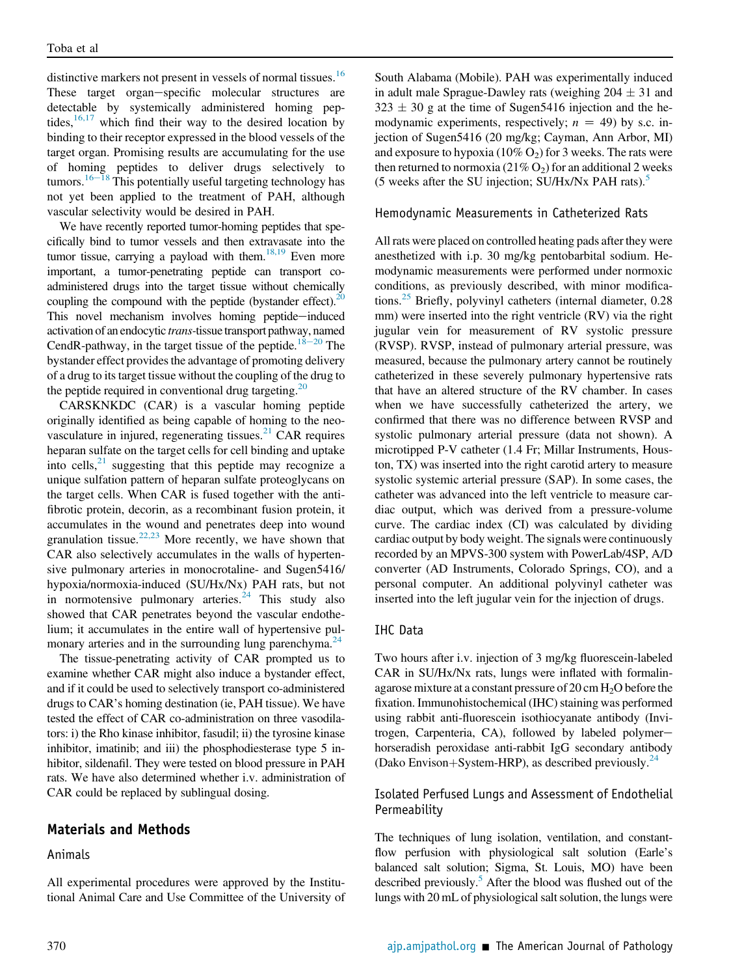distinctive markers not present in vessels of normal tissues.<sup>16</sup> These target organ-specific molecular structures are detectable by systemically administered homing peptides, $16,17$  which find their way to the desired location by binding to their receptor expressed in the blood vessels of the target organ. Promising results are accumulating for the use of homing peptides to deliver drugs selectively to tumors. $16-18$  This potentially useful targeting technology has not yet been applied to the treatment of PAH, although vascular selectivity would be desired in PAH.

We have recently reported tumor-homing peptides that specifically bind to tumor vessels and then extravasate into the tumor tissue, carrying a payload with them.<sup>18,19</sup> Even more important, a tumor-penetrating peptide can transport coadministered drugs into the target tissue without chemically coupling the compound with the peptide (bystander effect). $20$ This novel mechanism involves homing peptide-induced activation of an endocytic *trans-*tissue transport pathway, named CendR-pathway, in the target tissue of the peptide.<sup>18–20</sup> The bystander effect provides the advantage of promoting delivery of a drug to its target tissue without the coupling of the drug to the peptide required in conventional drug targeting.<sup>20</sup>

CARSKNKDC (CAR) is a vascular homing peptide originally identified as being capable of homing to the neovasculature in injured, regenerating tissues. $^{21}$  CAR requires heparan sulfate on the target cells for cell binding and uptake into cells, $^{21}$  suggesting that this peptide may recognize a unique sulfation pattern of heparan sulfate proteoglycans on the target cells. When CAR is fused together with the antifibrotic protein, decorin, as a recombinant fusion protein, it accumulates in the wound and penetrates deep into wound granulation tissue.<sup>22,23</sup> More recently, we have shown that CAR also selectively accumulates in the walls of hypertensive pulmonary arteries in monocrotaline- and Sugen5416/ hypoxia/normoxia-induced (SU/Hx/Nx) PAH rats, but not in normotensive pulmonary arteries. $24$  This study also showed that CAR penetrates beyond the vascular endothelium; it accumulates in the entire wall of hypertensive pulmonary arteries and in the surrounding lung parenchyma. $^{24}$ 

The tissue-penetrating activity of CAR prompted us to examine whether CAR might also induce a bystander effect, and if it could be used to selectively transport co-administered drugs to CAR's homing destination (ie, PAH tissue). We have tested the effect of CAR co-administration on three vasodilators: i) the Rho kinase inhibitor, fasudil; ii) the tyrosine kinase inhibitor, imatinib; and iii) the phosphodiesterase type 5 inhibitor, sildenafil. They were tested on blood pressure in PAH rats. We have also determined whether i.v. administration of CAR could be replaced by sublingual dosing.

## Materials and Methods

#### Animals

All experimental procedures were approved by the Institutional Animal Care and Use Committee of the University of South Alabama (Mobile). PAH was experimentally induced in adult male Sprague-Dawley rats (weighing  $204 \pm 31$  and  $323 \pm 30$  g at the time of Sugen5416 injection and the hemodynamic experiments, respectively;  $n = 49$ ) by s.c. injection of Sugen5416 (20 mg/kg; Cayman, Ann Arbor, MI) and exposure to hypoxia (10%  $O<sub>2</sub>$ ) for 3 weeks. The rats were then returned to normoxia (21%  $O_2$ ) for an additional 2 weeks (5 weeks after the SU injection; SU/Hx/Nx PAH rats).<sup>5</sup>

#### Hemodynamic Measurements in Catheterized Rats

All rats were placed on controlled heating pads after they were anesthetized with i.p. 30 mg/kg pentobarbital sodium. Hemodynamic measurements were performed under normoxic conditions, as previously described, with minor modifications.<sup>25</sup> Briefly, polyvinyl catheters (internal diameter, 0.28 mm) were inserted into the right ventricle (RV) via the right jugular vein for measurement of RV systolic pressure (RVSP). RVSP, instead of pulmonary arterial pressure, was measured, because the pulmonary artery cannot be routinely catheterized in these severely pulmonary hypertensive rats that have an altered structure of the RV chamber. In cases when we have successfully catheterized the artery, we confirmed that there was no difference between RVSP and systolic pulmonary arterial pressure (data not shown). A microtipped P-V catheter (1.4 Fr; Millar Instruments, Houston, TX) was inserted into the right carotid artery to measure systolic systemic arterial pressure (SAP). In some cases, the catheter was advanced into the left ventricle to measure cardiac output, which was derived from a pressure-volume curve. The cardiac index (CI) was calculated by dividing cardiac output by body weight. The signals were continuously recorded by an MPVS-300 system with PowerLab/4SP, A/D converter (AD Instruments, Colorado Springs, CO), and a personal computer. An additional polyvinyl catheter was inserted into the left jugular vein for the injection of drugs.

#### IHC Data

Two hours after i.v. injection of 3 mg/kg fluorescein-labeled CAR in SU/Hx/Nx rats, lungs were inflated with formalinagarose mixture at a constant pressure of  $20 \text{ cm H}_2\text{O}$  before the fixation. Immunohistochemical (IHC) staining was performed using rabbit anti-fluorescein isothiocyanate antibody (Invitrogen, Carpenteria, CA), followed by labeled polymerhorseradish peroxidase anti-rabbit IgG secondary antibody (Dako Envison+System-HRP), as described previously.<sup>24</sup>

### Isolated Perfused Lungs and Assessment of Endothelial Permeability

The techniques of lung isolation, ventilation, and constantflow perfusion with physiological salt solution (Earle's balanced salt solution; Sigma, St. Louis, MO) have been described previously.<sup>5</sup> After the blood was flushed out of the lungs with 20 mL of physiological salt solution, the lungs were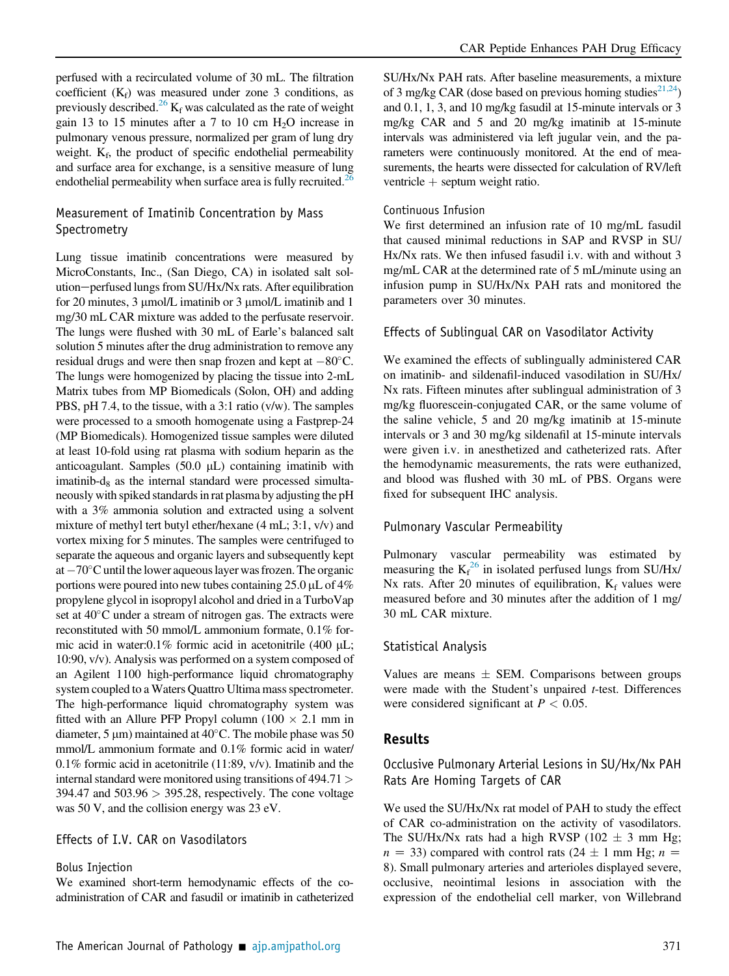perfused with a recirculated volume of 30 mL. The filtration coefficient  $(K_f)$  was measured under zone 3 conditions, as previously described.<sup>26</sup> K<sub>f</sub> was calculated as the rate of weight gain 13 to 15 minutes after a 7 to 10 cm  $H<sub>2</sub>O$  increase in pulmonary venous pressure, normalized per gram of lung dry weight.  $K_f$ , the product of specific endothelial permeability and surface area for exchange, is a sensitive measure of lung endothelial permeability when surface area is fully recruited.<sup>26</sup>

## Measurement of Imatinib Concentration by Mass Spectrometry

Lung tissue imatinib concentrations were measured by MicroConstants, Inc., (San Diego, CA) in isolated salt solution-perfused lungs from SU/Hx/Nx rats. After equilibration for 20 minutes, 3  $\mu$ mol/L imatinib or 3  $\mu$ mol/L imatinib and 1 mg/30 mL CAR mixture was added to the perfusate reservoir. The lungs were flushed with 30 mL of Earle's balanced salt solution 5 minutes after the drug administration to remove any residual drugs and were then snap frozen and kept at  $-80^{\circ}$ C. The lungs were homogenized by placing the tissue into 2-mL Matrix tubes from MP Biomedicals (Solon, OH) and adding PBS, pH 7.4, to the tissue, with a 3:1 ratio (v/w). The samples were processed to a smooth homogenate using a Fastprep-24 (MP Biomedicals). Homogenized tissue samples were diluted at least 10-fold using rat plasma with sodium heparin as the anticoagulant. Samples  $(50.0 \mu L)$  containing imatinib with imatinib- $d_8$  as the internal standard were processed simultaneously with spiked standards in rat plasma by adjusting the pH with a 3% ammonia solution and extracted using a solvent mixture of methyl tert butyl ether/hexane (4 mL; 3:1, v/v) and vortex mixing for 5 minutes. The samples were centrifuged to separate the aqueous and organic layers and subsequently kept at  $-70^{\circ}$ C until the lower aqueous layer was frozen. The organic portions were poured into new tubes containing  $25.0 \mu L$  of  $4\%$ propylene glycol in isopropyl alcohol and dried in a TurboVap set at  $40^{\circ}$ C under a stream of nitrogen gas. The extracts were reconstituted with 50 mmol/L ammonium formate, 0.1% formic acid in water: $0.1\%$  formic acid in acetonitrile (400  $\mu$ L; 10:90, v/v). Analysis was performed on a system composed of an Agilent 1100 high-performance liquid chromatography system coupled to a Waters Quattro Ultima mass spectrometer. The high-performance liquid chromatography system was fitted with an Allure PFP Propyl column ( $100 \times 2.1$  mm in diameter,  $5 \mu m$ ) maintained at 40 $^{\circ}$ C. The mobile phase was 50 mmol/L ammonium formate and 0.1% formic acid in water/ 0.1% formic acid in acetonitrile (11:89, v/v). Imatinib and the internal standard were monitored using transitions of 494.71 >  $394.47$  and  $503.96 > 395.28$ , respectively. The cone voltage was 50 V, and the collision energy was 23 eV.

#### Effects of I.V. CAR on Vasodilators

#### Bolus Injection

We examined short-term hemodynamic effects of the coadministration of CAR and fasudil or imatinib in catheterized

SU/Hx/Nx PAH rats. After baseline measurements, a mixture of 3 mg/kg CAR (dose based on previous homing studies<sup>21,24</sup>) and 0.1, 1, 3, and 10 mg/kg fasudil at 15-minute intervals or 3 mg/kg CAR and 5 and 20 mg/kg imatinib at 15-minute intervals was administered via left jugular vein, and the parameters were continuously monitored. At the end of measurements, the hearts were dissected for calculation of RV/left ventricle  $+$  septum weight ratio.

#### Continuous Infusion

We first determined an infusion rate of 10 mg/mL fasudil that caused minimal reductions in SAP and RVSP in SU/ Hx/Nx rats. We then infused fasudil i.v. with and without 3 mg/mL CAR at the determined rate of 5 mL/minute using an infusion pump in SU/Hx/Nx PAH rats and monitored the parameters over 30 minutes.

## Effects of Sublingual CAR on Vasodilator Activity

We examined the effects of sublingually administered CAR on imatinib- and sildenafil-induced vasodilation in SU/Hx/ Nx rats. Fifteen minutes after sublingual administration of 3 mg/kg fluorescein-conjugated CAR, or the same volume of the saline vehicle, 5 and 20 mg/kg imatinib at 15-minute intervals or 3 and 30 mg/kg sildenafil at 15-minute intervals were given i.v. in anesthetized and catheterized rats. After the hemodynamic measurements, the rats were euthanized, and blood was flushed with 30 mL of PBS. Organs were fixed for subsequent IHC analysis.

#### Pulmonary Vascular Permeability

Pulmonary vascular permeability was estimated by measuring the  $K_f^{26}$  in isolated perfused lungs from SU/Hx/ Nx rats. After 20 minutes of equilibration,  $K_f$  values were measured before and 30 minutes after the addition of 1 mg/ 30 mL CAR mixture.

#### Statistical Analysis

Values are means  $\pm$  SEM. Comparisons between groups were made with the Student's unpaired *t*-test. Differences were considered significant at  $P < 0.05$ .

## Results

## Occlusive Pulmonary Arterial Lesions in SU/Hx/Nx PAH Rats Are Homing Targets of CAR

We used the SU/Hx/Nx rat model of PAH to study the effect of CAR co-administration on the activity of vasodilators. The SU/Hx/Nx rats had a high RVSP (102  $\pm$  3 mm Hg;  $n = 33$ ) compared with control rats (24  $\pm$  1 mm Hg;  $n =$ 8). Small pulmonary arteries and arterioles displayed severe, occlusive, neointimal lesions in association with the expression of the endothelial cell marker, von Willebrand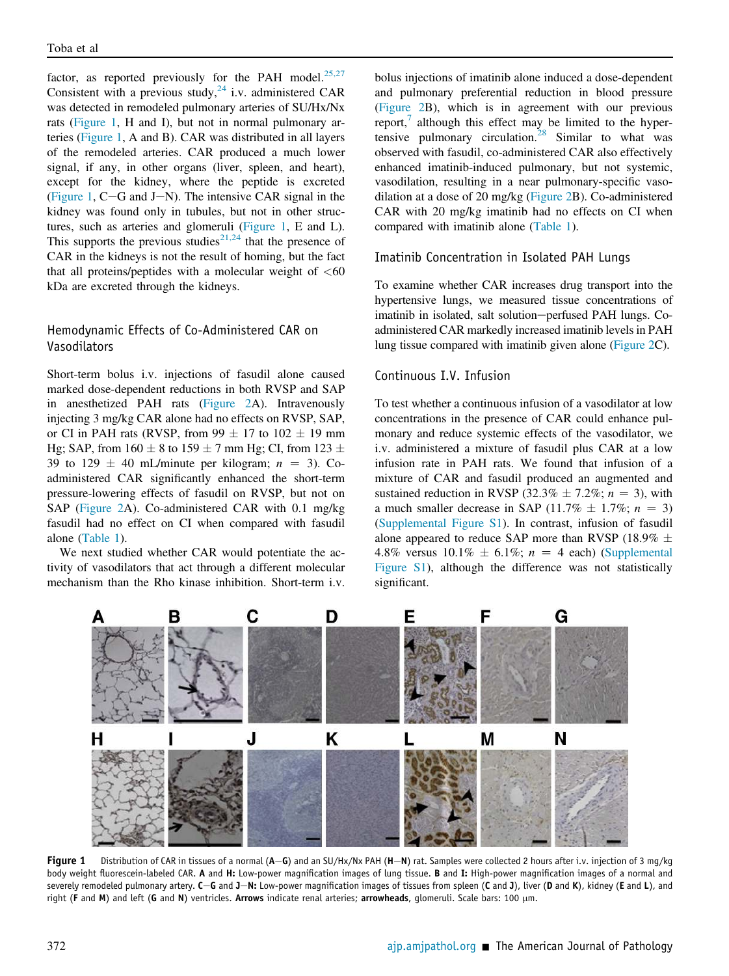factor, as reported previously for the PAH model.<sup>25,27</sup> Consistent with a previous study,  $24$  i.v. administered CAR was detected in remodeled pulmonary arteries of SU/Hx/Nx rats (Figure 1, H and I), but not in normal pulmonary arteries (Figure 1, A and B). CAR was distributed in all layers of the remodeled arteries. CAR produced a much lower signal, if any, in other organs (liver, spleen, and heart), except for the kidney, where the peptide is excreted (Figure 1,  $C-G$  and J-N). The intensive CAR signal in the kidney was found only in tubules, but not in other structures, such as arteries and glomeruli (Figure 1, E and L). This supports the previous studies<sup>21,24</sup> that the presence of CAR in the kidneys is not the result of homing, but the fact that all proteins/peptides with a molecular weight of  $<60$ kDa are excreted through the kidneys.

## Hemodynamic Effects of Co-Administered CAR on Vasodilators

Short-term bolus i.v. injections of fasudil alone caused marked dose-dependent reductions in both RVSP and SAP in anesthetized PAH rats (Figure 2A). Intravenously injecting 3 mg/kg CAR alone had no effects on RVSP, SAP, or CI in PAH rats (RVSP, from  $99 \pm 17$  to  $102 \pm 19$  mm Hg; SAP, from 160  $\pm$  8 to 159  $\pm$  7 mm Hg; CI, from 123  $\pm$ 39 to 129  $\pm$  40 mL/minute per kilogram;  $n = 3$ ). Coadministered CAR significantly enhanced the short-term pressure-lowering effects of fasudil on RVSP, but not on SAP (Figure 2A). Co-administered CAR with 0.1 mg/kg fasudil had no effect on CI when compared with fasudil alone (Table 1).

We next studied whether CAR would potentiate the activity of vasodilators that act through a different molecular mechanism than the Rho kinase inhibition. Short-term i.v.

bolus injections of imatinib alone induced a dose-dependent and pulmonary preferential reduction in blood pressure (Figure 2B), which is in agreement with our previous report,<sup>7</sup> although this effect may be limited to the hypertensive pulmonary circulation.<sup>28</sup> Similar to what was observed with fasudil, co-administered CAR also effectively enhanced imatinib-induced pulmonary, but not systemic, vasodilation, resulting in a near pulmonary-specific vasodilation at a dose of 20 mg/kg (Figure 2B). Co-administered CAR with 20 mg/kg imatinib had no effects on CI when compared with imatinib alone (Table 1).

#### Imatinib Concentration in Isolated PAH Lungs

To examine whether CAR increases drug transport into the hypertensive lungs, we measured tissue concentrations of imatinib in isolated, salt solution-perfused PAH lungs. Coadministered CAR markedly increased imatinib levels in PAH lung tissue compared with imatinib given alone (Figure 2C).

## Continuous I.V. Infusion

To test whether a continuous infusion of a vasodilator at low concentrations in the presence of CAR could enhance pulmonary and reduce systemic effects of the vasodilator, we i.v. administered a mixture of fasudil plus CAR at a low infusion rate in PAH rats. We found that infusion of a mixture of CAR and fasudil produced an augmented and sustained reduction in RVSP  $(32.3\% \pm 7.2\%; n = 3)$ , with a much smaller decrease in SAP  $(11.7\% \pm 1.7\%; n = 3)$ (Supplemental Figure S1). In contrast, infusion of fasudil alone appeared to reduce SAP more than RVSP (18.9%  $\pm$ 4.8% versus  $10.1\% \pm 6.1\%$ ;  $n = 4$  each) (Supplemental Figure S1), although the difference was not statistically significant.



Figure 1 Distribution of CAR in tissues of a normal  $(A-G)$  and an SU/Hx/Nx PAH  $(H-N)$  rat. Samples were collected 2 hours after i.v. injection of 3 mg/kg body weight fluorescein-labeled CAR. A and H: Low-power magnification images of lung tissue. B and I: High-power magnification images of a normal and severely remodeled pulmonary artery. C-G and J-N: Low-power magnification images of tissues from spleen (C and J), liver (D and K), kidney (E and L), and right (F and M) and left (G and N) ventricles. Arrows indicate renal arteries; arrowheads, glomeruli. Scale bars: 100  $\mu$ m.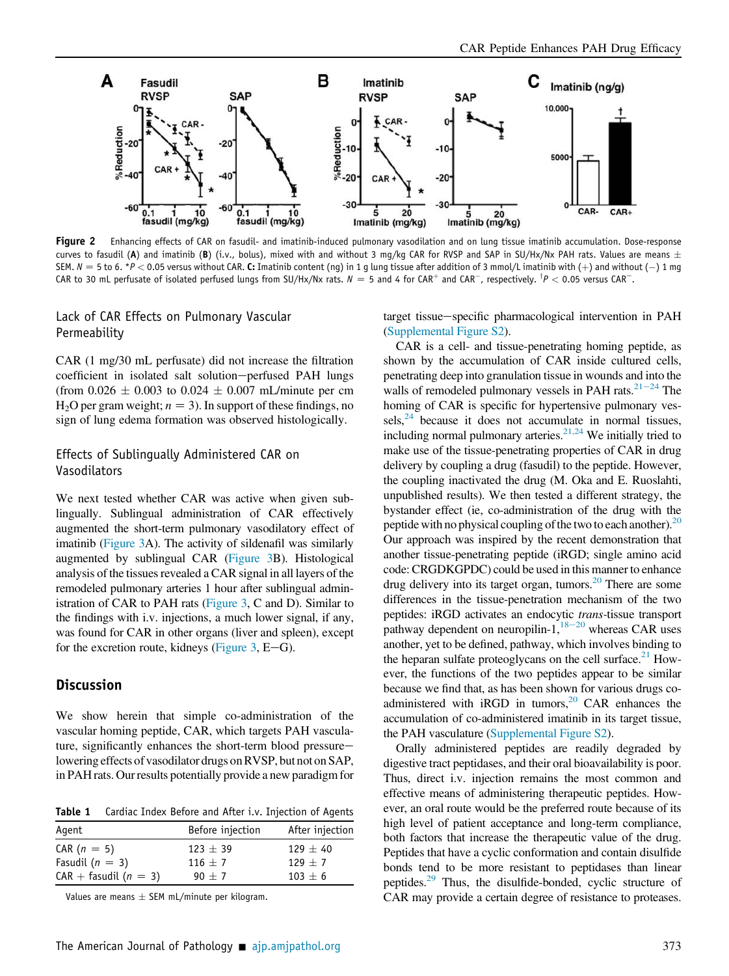

Figure 2 Enhancing effects of CAR on fasudil- and imatinib-induced pulmonary vasodilation and on lung tissue imatinib accumulation. Dose-response curves to fasudil (**A**) and imatinib (**B**) (i.v., bolus), mixed with and without 3 mg/kg CAR for RVSP and SAP in SU/Hx/Nx PAH rats. Values are means  $\pm$ SEM.  $N = 5$  to 6.  $*P < 0.05$  versus without CAR. C: Imatinib content (ng) in 1 g lung tissue after addition of 3 mmol/L imatinib with (+) and without (-) 1 mg CAR to 30 mL perfusate of isolated perfused lungs from SU/Hx/Nx rats.  $N = 5$  and 4 for CAR<sup>+</sup> and CAR<sup>-</sup>, respectively. <sup>†</sup>P < 0.05 versus CAR<sup>-</sup>.

## Lack of CAR Effects on Pulmonary Vascular Permeability

CAR (1 mg/30 mL perfusate) did not increase the filtration coefficient in isolated salt solution-perfused PAH lungs (from  $0.026 \pm 0.003$  to  $0.024 \pm 0.007$  mL/minute per cm  $H<sub>2</sub>O$  per gram weight;  $n = 3$ ). In support of these findings, no sign of lung edema formation was observed histologically.

## Effects of Sublingually Administered CAR on Vasodilators

We next tested whether CAR was active when given sublingually. Sublingual administration of CAR effectively augmented the short-term pulmonary vasodilatory effect of imatinib (Figure 3A). The activity of sildenafil was similarly augmented by sublingual CAR (Figure 3B). Histological analysis of the tissues revealed a CAR signal in all layers of the remodeled pulmonary arteries 1 hour after sublingual administration of CAR to PAH rats (Figure 3, C and D). Similar to the findings with i.v. injections, a much lower signal, if any, was found for CAR in other organs (liver and spleen), except for the excretion route, kidneys (Figure 3,  $E-G$ ).

## **Discussion**

We show herein that simple co-administration of the vascular homing peptide, CAR, which targets PAH vasculature, significantly enhances the short-term blood pressurelowering effects of vasodilator drugs on RVSP, but not on SAP, in PAH rats. Our results potentially provide a new paradigm for

Table 1 Cardiac Index Before and After i.v. Injection of Agents

| Agent                   | Before injection | After injection |
|-------------------------|------------------|-----------------|
| $CAR (n = 5)$           | $123 + 39$       | $129 + 40$      |
| Fasudil $(n = 3)$       | $116 + 7$        | $129 + 7$       |
| $CAR + fasudil (n = 3)$ | $90 + 7$         | $103 + 6$       |

Values are means  $\pm$  SEM mL/minute per kilogram.

target tissue—specific pharmacological intervention in PAH (Supplemental Figure S2).

CAR is a cell- and tissue-penetrating homing peptide, as shown by the accumulation of CAR inside cultured cells, penetrating deep into granulation tissue in wounds and into the walls of remodeled pulmonary vessels in PAH rats. $2^{1-24}$  The homing of CAR is specific for hypertensive pulmonary vessels,  $24$  because it does not accumulate in normal tissues, including normal pulmonary arteries. $21,24$  We initially tried to make use of the tissue-penetrating properties of CAR in drug delivery by coupling a drug (fasudil) to the peptide. However, the coupling inactivated the drug (M. Oka and E. Ruoslahti, unpublished results). We then tested a different strategy, the bystander effect (ie, co-administration of the drug with the peptide with no physical coupling of the two to each another).<sup>20</sup> Our approach was inspired by the recent demonstration that another tissue-penetrating peptide (iRGD; single amino acid code: CRGDKGPDC) could be used in this manner to enhance drug delivery into its target organ, tumors. $20$  There are some differences in the tissue-penetration mechanism of the two peptides: iRGD activates an endocytic *trans-*tissue transport pathway dependent on neuropilin- $1,^{18-20}$  whereas CAR uses another, yet to be defined, pathway, which involves binding to the heparan sulfate proteoglycans on the cell surface.<sup>21</sup> However, the functions of the two peptides appear to be similar because we find that, as has been shown for various drugs coadministered with iRGD in tumors, $20$  CAR enhances the accumulation of co-administered imatinib in its target tissue, the PAH vasculature (Supplemental Figure S2).

Orally administered peptides are readily degraded by digestive tract peptidases, and their oral bioavailability is poor. Thus, direct i.v. injection remains the most common and effective means of administering therapeutic peptides. However, an oral route would be the preferred route because of its high level of patient acceptance and long-term compliance, both factors that increase the therapeutic value of the drug. Peptides that have a cyclic conformation and contain disulfide bonds tend to be more resistant to peptidases than linear peptides.<sup>29</sup> Thus, the disulfide-bonded, cyclic structure of CAR may provide a certain degree of resistance to proteases.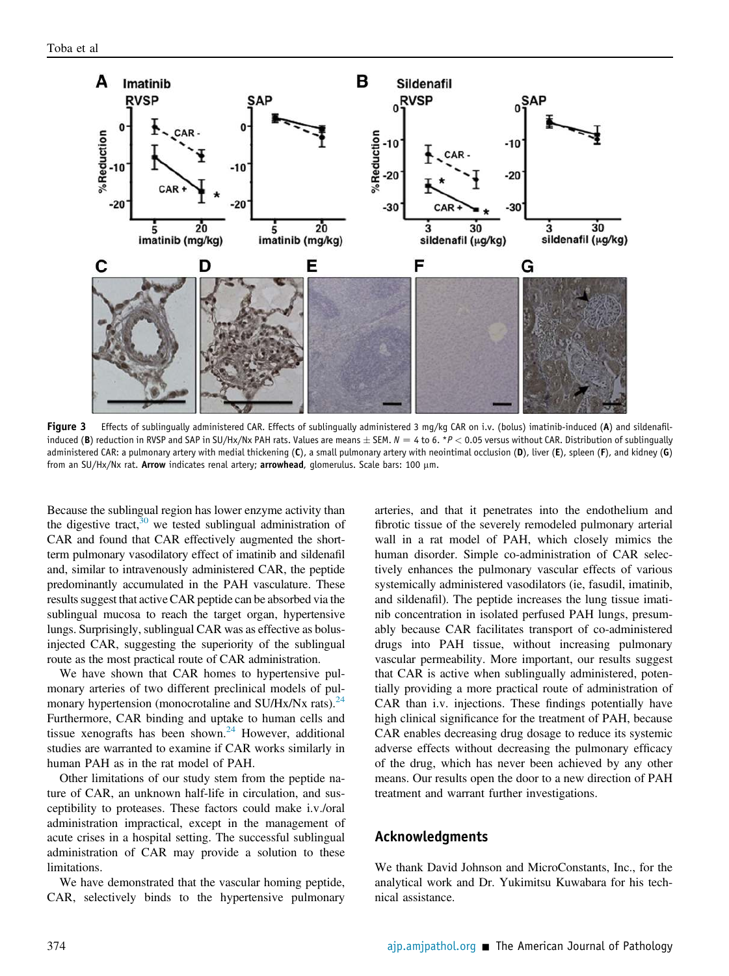

Figure 3 Effects of sublingually administered CAR. Effects of sublingually administered 3 mg/kg CAR on i.v. (bolus) imatinib-induced (A) and sildenafilinduced (**B**) reduction in RVSP and SAP in SU/Hx/Nx PAH rats. Values are means  $\pm$  SEM.  $N = 4$  to 6. \* $P < 0.05$  versus without CAR. Distribution of sublingually administered CAR: a pulmonary artery with medial thickening  $(C)$ , a small pulmonary artery with neointimal occlusion  $(D)$ , liver  $(E)$ , spleen  $(F)$ , and kidney  $(G)$ from an SU/Hx/Nx rat. Arrow indicates renal artery; arrowhead, glomerulus. Scale bars: 100  $\mu$ m.

Because the sublingual region has lower enzyme activity than the digestive tract, $30$  we tested sublingual administration of CAR and found that CAR effectively augmented the shortterm pulmonary vasodilatory effect of imatinib and sildenafil and, similar to intravenously administered CAR, the peptide predominantly accumulated in the PAH vasculature. These results suggest that active CAR peptide can be absorbed via the sublingual mucosa to reach the target organ, hypertensive lungs. Surprisingly, sublingual CAR was as effective as bolusinjected CAR, suggesting the superiority of the sublingual route as the most practical route of CAR administration.

We have shown that CAR homes to hypertensive pulmonary arteries of two different preclinical models of pulmonary hypertension (monocrotaline and SU/Hx/Nx rats).<sup>24</sup> Furthermore, CAR binding and uptake to human cells and tissue xenografts has been shown.<sup>24</sup> However, additional studies are warranted to examine if CAR works similarly in human PAH as in the rat model of PAH.

Other limitations of our study stem from the peptide nature of CAR, an unknown half-life in circulation, and susceptibility to proteases. These factors could make i.v./oral administration impractical, except in the management of acute crises in a hospital setting. The successful sublingual administration of CAR may provide a solution to these limitations.

We have demonstrated that the vascular homing peptide, CAR, selectively binds to the hypertensive pulmonary

arteries, and that it penetrates into the endothelium and fibrotic tissue of the severely remodeled pulmonary arterial wall in a rat model of PAH, which closely mimics the human disorder. Simple co-administration of CAR selectively enhances the pulmonary vascular effects of various systemically administered vasodilators (ie, fasudil, imatinib, and sildenafil). The peptide increases the lung tissue imatinib concentration in isolated perfused PAH lungs, presumably because CAR facilitates transport of co-administered drugs into PAH tissue, without increasing pulmonary vascular permeability. More important, our results suggest that CAR is active when sublingually administered, potentially providing a more practical route of administration of CAR than i.v. injections. These findings potentially have high clinical significance for the treatment of PAH, because CAR enables decreasing drug dosage to reduce its systemic adverse effects without decreasing the pulmonary efficacy of the drug, which has never been achieved by any other means. Our results open the door to a new direction of PAH treatment and warrant further investigations.

#### Acknowledgments

We thank David Johnson and MicroConstants, Inc., for the analytical work and Dr. Yukimitsu Kuwabara for his technical assistance.